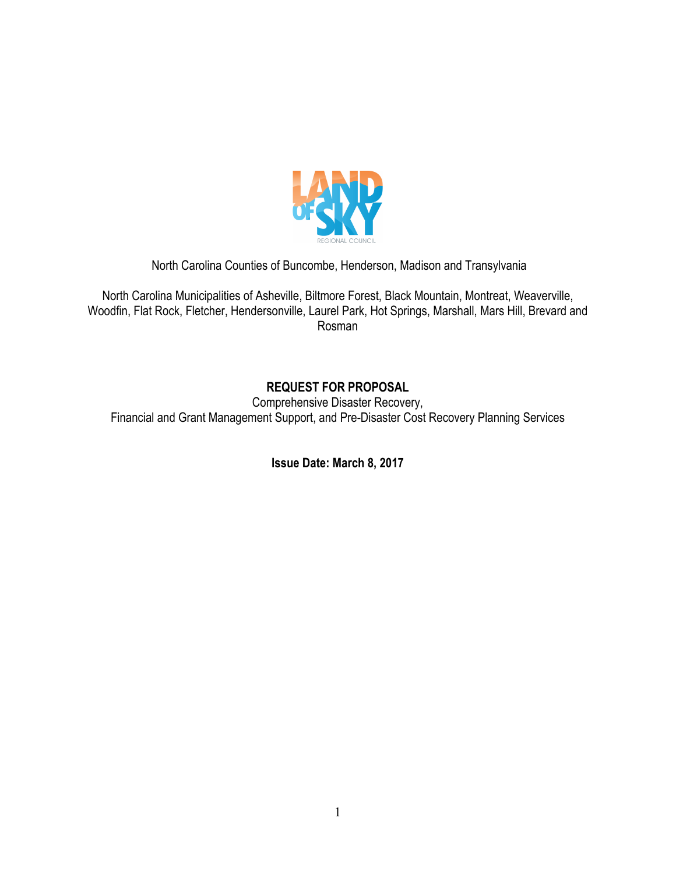

North Carolina Counties of Buncombe, Henderson, Madison and Transylvania

North Carolina Municipalities of Asheville, Biltmore Forest, Black Mountain, Montreat, Weaverville, Woodfin, Flat Rock, Fletcher, Hendersonville, Laurel Park, Hot Springs, Marshall, Mars Hill, Brevard and Rosman

# **REQUEST FOR PROPOSAL**

Comprehensive Disaster Recovery, Financial and Grant Management Support, and Pre-Disaster Cost Recovery Planning Services

**Issue Date: March 8, 2017**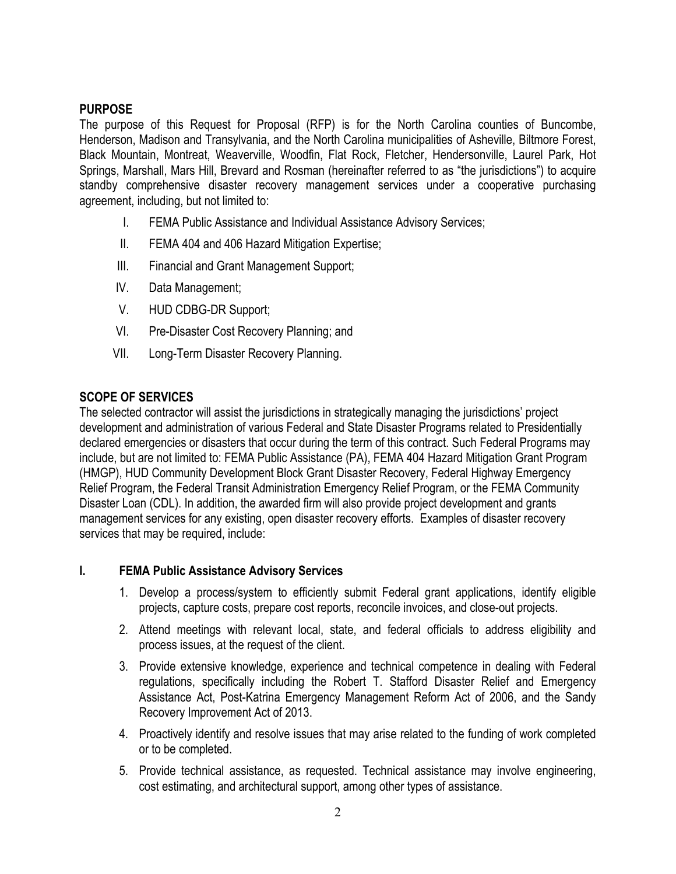### **PURPOSE**

The purpose of this Request for Proposal (RFP) is for the North Carolina counties of Buncombe, Henderson, Madison and Transylvania, and the North Carolina municipalities of Asheville, Biltmore Forest, Black Mountain, Montreat, Weaverville, Woodfin, Flat Rock, Fletcher, Hendersonville, Laurel Park, Hot Springs, Marshall, Mars Hill, Brevard and Rosman (hereinafter referred to as "the jurisdictions") to acquire standby comprehensive disaster recovery management services under a cooperative purchasing agreement, including, but not limited to:

- I. FEMA Public Assistance and Individual Assistance Advisory Services;
- II. FEMA 404 and 406 Hazard Mitigation Expertise;
- III. Financial and Grant Management Support;
- IV. Data Management;
- V. HUD CDBG-DR Support;
- VI. Pre-Disaster Cost Recovery Planning; and
- VII. Long-Term Disaster Recovery Planning.

### **SCOPE OF SERVICES**

The selected contractor will assist the jurisdictions in strategically managing the jurisdictions' project development and administration of various Federal and State Disaster Programs related to Presidentially declared emergencies or disasters that occur during the term of this contract. Such Federal Programs may include, but are not limited to: FEMA Public Assistance (PA), FEMA 404 Hazard Mitigation Grant Program (HMGP), HUD Community Development Block Grant Disaster Recovery, Federal Highway Emergency Relief Program, the Federal Transit Administration Emergency Relief Program, or the FEMA Community Disaster Loan (CDL). In addition, the awarded firm will also provide project development and grants management services for any existing, open disaster recovery efforts. Examples of disaster recovery services that may be required, include:

### **I. FEMA Public Assistance Advisory Services**

- 1. Develop a process/system to efficiently submit Federal grant applications, identify eligible projects, capture costs, prepare cost reports, reconcile invoices, and close-out projects.
- 2. Attend meetings with relevant local, state, and federal officials to address eligibility and process issues, at the request of the client.
- 3. Provide extensive knowledge, experience and technical competence in dealing with Federal regulations, specifically including the Robert T. Stafford Disaster Relief and Emergency Assistance Act, Post-Katrina Emergency Management Reform Act of 2006, and the Sandy Recovery Improvement Act of 2013.
- 4. Proactively identify and resolve issues that may arise related to the funding of work completed or to be completed.
- 5. Provide technical assistance, as requested. Technical assistance may involve engineering, cost estimating, and architectural support, among other types of assistance.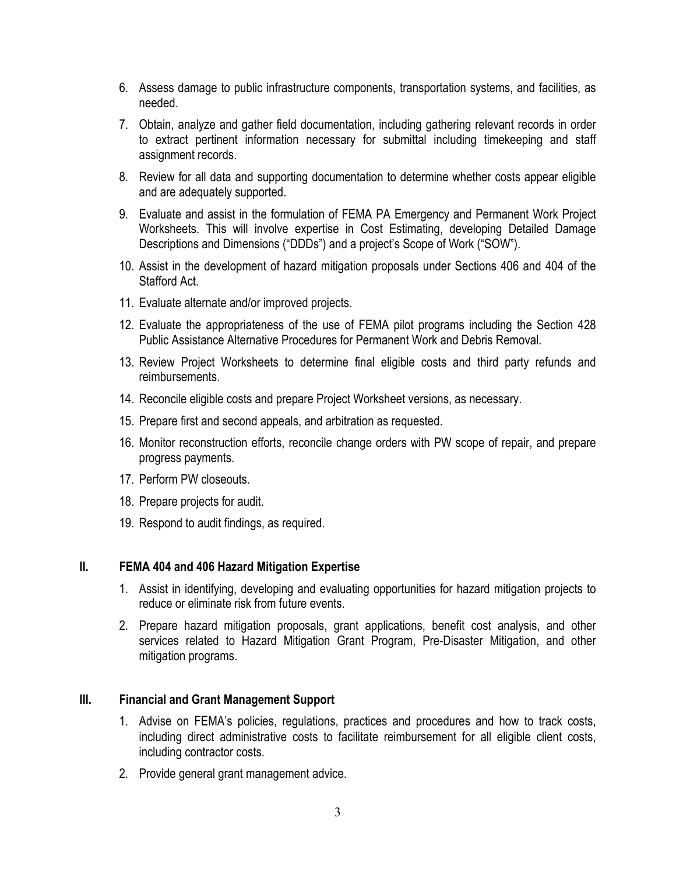- 6. Assess damage to public infrastructure components, transportation systems, and facilities, as needed.
- 7. Obtain, analyze and gather field documentation, including gathering relevant records in order to extract pertinent information necessary for submittal including timekeeping and staff assignment records.
- 8. Review for all data and supporting documentation to determine whether costs appear eligible and are adequately supported.
- 9. Evaluate and assist in the formulation of FEMA PA Emergency and Permanent Work Project Worksheets. This will involve expertise in Cost Estimating, developing Detailed Damage Descriptions and Dimensions ("DDDs") and a project's Scope of Work ("SOW").
- 10. Assist in the development of hazard mitigation proposals under Sections 406 and 404 of the Stafford Act.
- 11. Evaluate alternate and/or improved projects.
- 12. Evaluate the appropriateness of the use of FEMA pilot programs including the Section 428 Public Assistance Alternative Procedures for Permanent Work and Debris Removal.
- 13. Review Project Worksheets to determine final eligible costs and third party refunds and reimbursements.
- 14. Reconcile eligible costs and prepare Project Worksheet versions, as necessary.
- 15. Prepare first and second appeals, and arbitration as requested.
- 16. Monitor reconstruction efforts, reconcile change orders with PW scope of repair, and prepare progress payments.
- 17. Perform PW closeouts.
- 18. Prepare projects for audit.
- 19. Respond to audit findings, as required.

#### **II. FEMA 404 and 406 Hazard Mitigation Expertise**

- 1. Assist in identifying, developing and evaluating opportunities for hazard mitigation projects to reduce or eliminate risk from future events.
- 2. Prepare hazard mitigation proposals, grant applications, benefit cost analysis, and other services related to Hazard Mitigation Grant Program, Pre-Disaster Mitigation, and other mitigation programs.

#### **III. Financial and Grant Management Support**

- 1. Advise on FEMA's policies, regulations, practices and procedures and how to track costs, including direct administrative costs to facilitate reimbursement for all eligible client costs, including contractor costs.
- 2. Provide general grant management advice.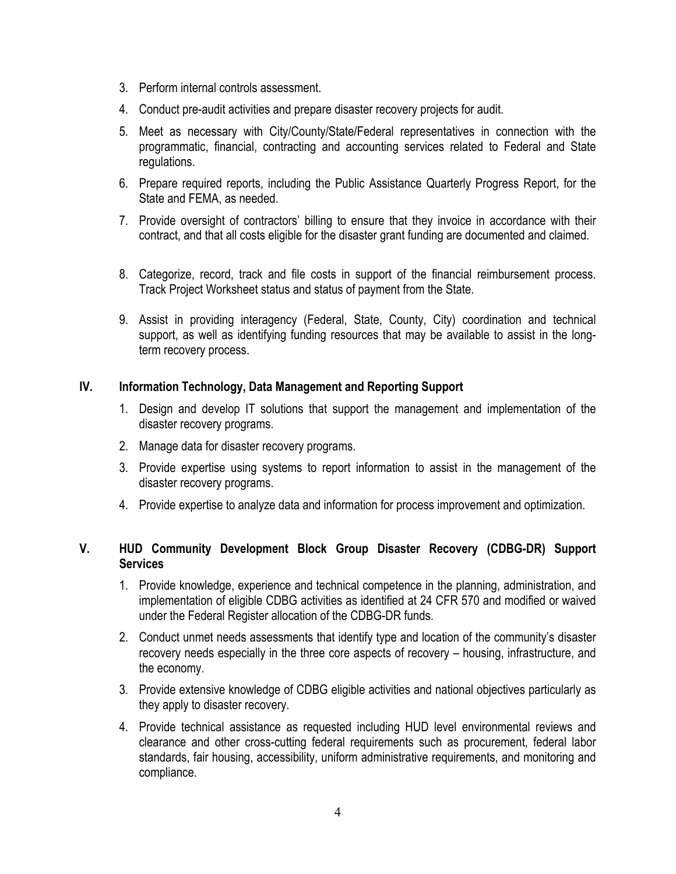- 3. Perform internal controls assessment.
- 4. Conduct pre-audit activities and prepare disaster recovery projects for audit.
- 5. Meet as necessary with City/County/State/Federal representatives in connection with the programmatic, financial, contracting and accounting services related to Federal and State regulations.
- 6. Prepare required reports, including the Public Assistance Quarterly Progress Report, for the State and FEMA, as needed.
- 7. Provide oversight of contractors' billing to ensure that they invoice in accordance with their contract, and that all costs eligible for the disaster grant funding are documented and claimed.
- 8. Categorize, record, track and file costs in support of the financial reimbursement process. Track Project Worksheet status and status of payment from the State.
- 9. Assist in providing interagency (Federal, State, County, City) coordination and technical support, as well as identifying funding resources that may be available to assist in the longterm recovery process.

### **IV. Information Technology, Data Management and Reporting Support**

- 1. Design and develop IT solutions that support the management and implementation of the disaster recovery programs.
- 2. Manage data for disaster recovery programs.
- 3. Provide expertise using systems to report information to assist in the management of the disaster recovery programs.
- 4. Provide expertise to analyze data and information for process improvement and optimization.

#### **V. HUD Community Development Block Group Disaster Recovery (CDBG-DR) Support Services**

- 1. Provide knowledge, experience and technical competence in the planning, administration, and implementation of eligible CDBG activities as identified at 24 CFR 570 and modified or waived under the Federal Register allocation of the CDBG-DR funds.
- 2. Conduct unmet needs assessments that identify type and location of the community's disaster recovery needs especially in the three core aspects of recovery – housing, infrastructure, and the economy.
- 3. Provide extensive knowledge of CDBG eligible activities and national objectives particularly as they apply to disaster recovery.
- 4. Provide technical assistance as requested including HUD level environmental reviews and clearance and other cross-cutting federal requirements such as procurement, federal labor standards, fair housing, accessibility, uniform administrative requirements, and monitoring and compliance.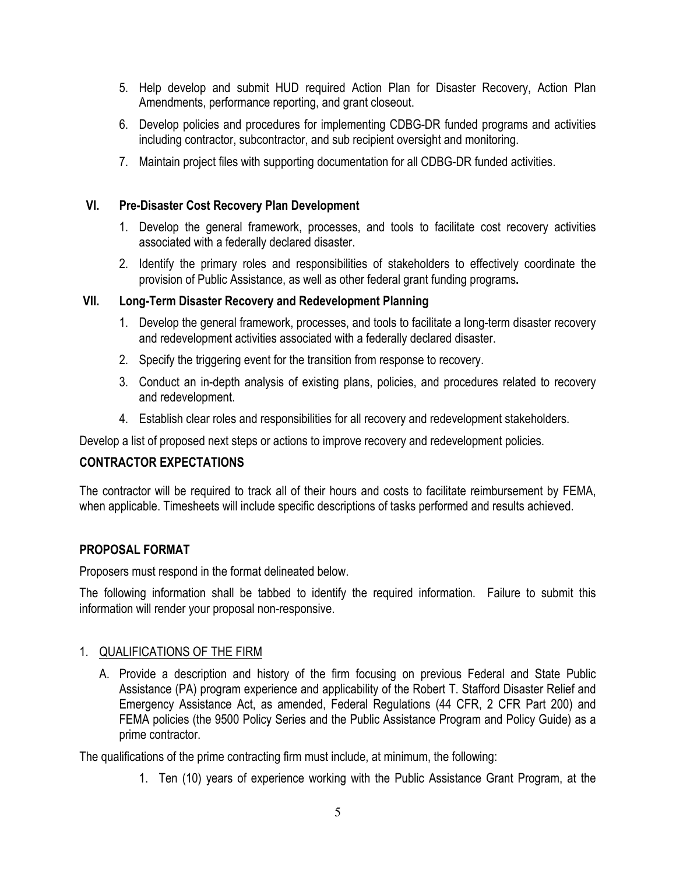- 5. Help develop and submit HUD required Action Plan for Disaster Recovery, Action Plan Amendments, performance reporting, and grant closeout.
- 6. Develop policies and procedures for implementing CDBG-DR funded programs and activities including contractor, subcontractor, and sub recipient oversight and monitoring.
- 7. Maintain project files with supporting documentation for all CDBG-DR funded activities.

### **VI. Pre-Disaster Cost Recovery Plan Development**

- 1. Develop the general framework, processes, and tools to facilitate cost recovery activities associated with a federally declared disaster.
- 2. Identify the primary roles and responsibilities of stakeholders to effectively coordinate the provision of Public Assistance, as well as other federal grant funding programs**.**

### **VII. Long-Term Disaster Recovery and Redevelopment Planning**

- 1. Develop the general framework, processes, and tools to facilitate a long-term disaster recovery and redevelopment activities associated with a federally declared disaster.
- 2. Specify the triggering event for the transition from response to recovery.
- 3. Conduct an in-depth analysis of existing plans, policies, and procedures related to recovery and redevelopment.
- 4. Establish clear roles and responsibilities for all recovery and redevelopment stakeholders.

Develop a list of proposed next steps or actions to improve recovery and redevelopment policies.

# **CONTRACTOR EXPECTATIONS**

The contractor will be required to track all of their hours and costs to facilitate reimbursement by FEMA, when applicable. Timesheets will include specific descriptions of tasks performed and results achieved.

### **PROPOSAL FORMAT**

Proposers must respond in the format delineated below.

The following information shall be tabbed to identify the required information. Failure to submit this information will render your proposal non-responsive.

### 1. QUALIFICATIONS OF THE FIRM

A. Provide a description and history of the firm focusing on previous Federal and State Public Assistance (PA) program experience and applicability of the Robert T. Stafford Disaster Relief and Emergency Assistance Act, as amended, Federal Regulations (44 CFR, 2 CFR Part 200) and FEMA policies (the 9500 Policy Series and the Public Assistance Program and Policy Guide) as a prime contractor.

The qualifications of the prime contracting firm must include, at minimum, the following:

1. Ten (10) years of experience working with the Public Assistance Grant Program, at the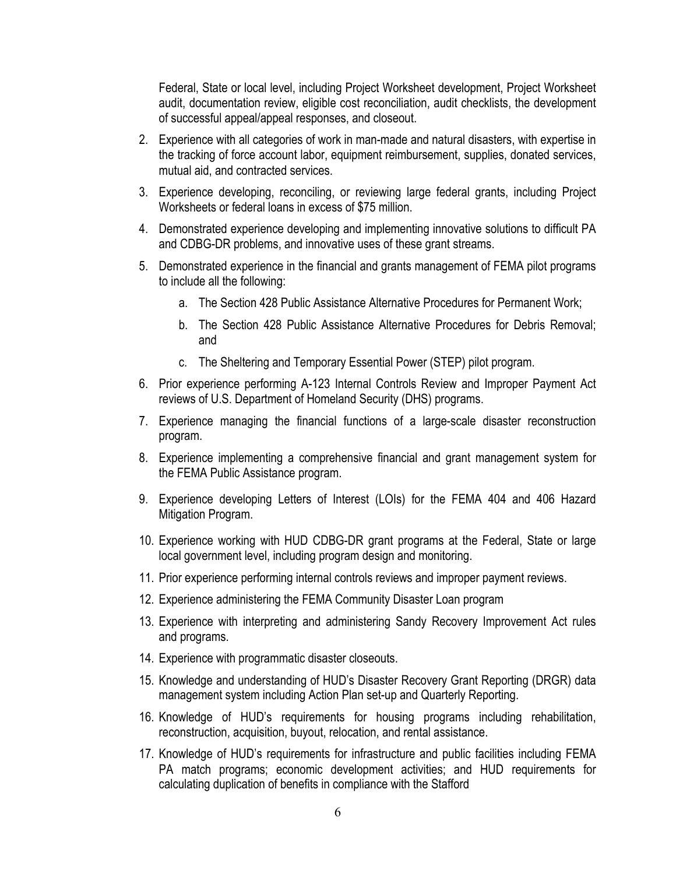Federal, State or local level, including Project Worksheet development, Project Worksheet audit, documentation review, eligible cost reconciliation, audit checklists, the development of successful appeal/appeal responses, and closeout.

- 2. Experience with all categories of work in man-made and natural disasters, with expertise in the tracking of force account labor, equipment reimbursement, supplies, donated services, mutual aid, and contracted services.
- 3. Experience developing, reconciling, or reviewing large federal grants, including Project Worksheets or federal loans in excess of \$75 million.
- 4. Demonstrated experience developing and implementing innovative solutions to difficult PA and CDBG-DR problems, and innovative uses of these grant streams.
- 5. Demonstrated experience in the financial and grants management of FEMA pilot programs to include all the following:
	- a. The Section 428 Public Assistance Alternative Procedures for Permanent Work;
	- b. The Section 428 Public Assistance Alternative Procedures for Debris Removal; and
	- c. The Sheltering and Temporary Essential Power (STEP) pilot program.
- 6. Prior experience performing A-123 Internal Controls Review and Improper Payment Act reviews of U.S. Department of Homeland Security (DHS) programs.
- 7. Experience managing the financial functions of a large-scale disaster reconstruction program.
- 8. Experience implementing a comprehensive financial and grant management system for the FEMA Public Assistance program.
- 9. Experience developing Letters of Interest (LOIs) for the FEMA 404 and 406 Hazard Mitigation Program.
- 10. Experience working with HUD CDBG-DR grant programs at the Federal, State or large local government level, including program design and monitoring.
- 11. Prior experience performing internal controls reviews and improper payment reviews.
- 12. Experience administering the FEMA Community Disaster Loan program
- 13. Experience with interpreting and administering Sandy Recovery Improvement Act rules and programs.
- 14. Experience with programmatic disaster closeouts.
- 15. Knowledge and understanding of HUD's Disaster Recovery Grant Reporting (DRGR) data management system including Action Plan set-up and Quarterly Reporting.
- 16. Knowledge of HUD's requirements for housing programs including rehabilitation, reconstruction, acquisition, buyout, relocation, and rental assistance.
- 17. Knowledge of HUD's requirements for infrastructure and public facilities including FEMA PA match programs; economic development activities; and HUD requirements for calculating duplication of benefits in compliance with the Stafford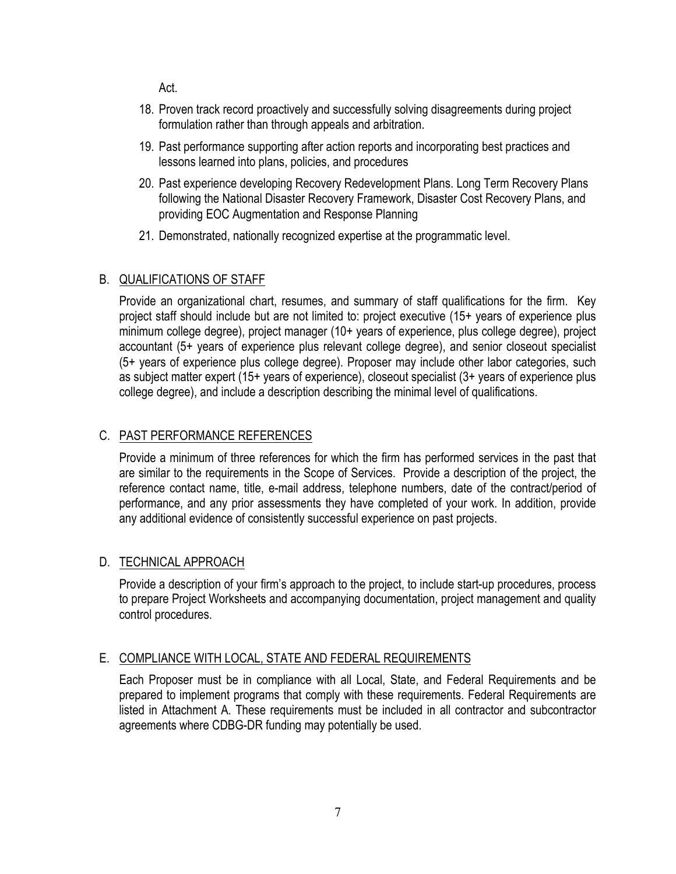Act.

- 18. Proven track record proactively and successfully solving disagreements during project formulation rather than through appeals and arbitration.
- 19. Past performance supporting after action reports and incorporating best practices and lessons learned into plans, policies, and procedures
- 20. Past experience developing Recovery Redevelopment Plans. Long Term Recovery Plans following the National Disaster Recovery Framework, Disaster Cost Recovery Plans, and providing EOC Augmentation and Response Planning
- 21. Demonstrated, nationally recognized expertise at the programmatic level.

# B. QUALIFICATIONS OF STAFF

Provide an organizational chart, resumes, and summary of staff qualifications for the firm. Key project staff should include but are not limited to: project executive (15+ years of experience plus minimum college degree), project manager (10+ years of experience, plus college degree), project accountant (5+ years of experience plus relevant college degree), and senior closeout specialist (5+ years of experience plus college degree). Proposer may include other labor categories, such as subject matter expert (15+ years of experience), closeout specialist (3+ years of experience plus college degree), and include a description describing the minimal level of qualifications.

# C. PAST PERFORMANCE REFERENCES

Provide a minimum of three references for which the firm has performed services in the past that are similar to the requirements in the Scope of Services. Provide a description of the project, the reference contact name, title, e-mail address, telephone numbers, date of the contract/period of performance, and any prior assessments they have completed of your work. In addition, provide any additional evidence of consistently successful experience on past projects.

### D. TECHNICAL APPROACH

Provide a description of your firm's approach to the project, to include start-up procedures, process to prepare Project Worksheets and accompanying documentation, project management and quality control procedures.

# E. COMPLIANCE WITH LOCAL, STATE AND FEDERAL REQUIREMENTS

Each Proposer must be in compliance with all Local, State, and Federal Requirements and be prepared to implement programs that comply with these requirements. Federal Requirements are listed in Attachment A. These requirements must be included in all contractor and subcontractor agreements where CDBG-DR funding may potentially be used.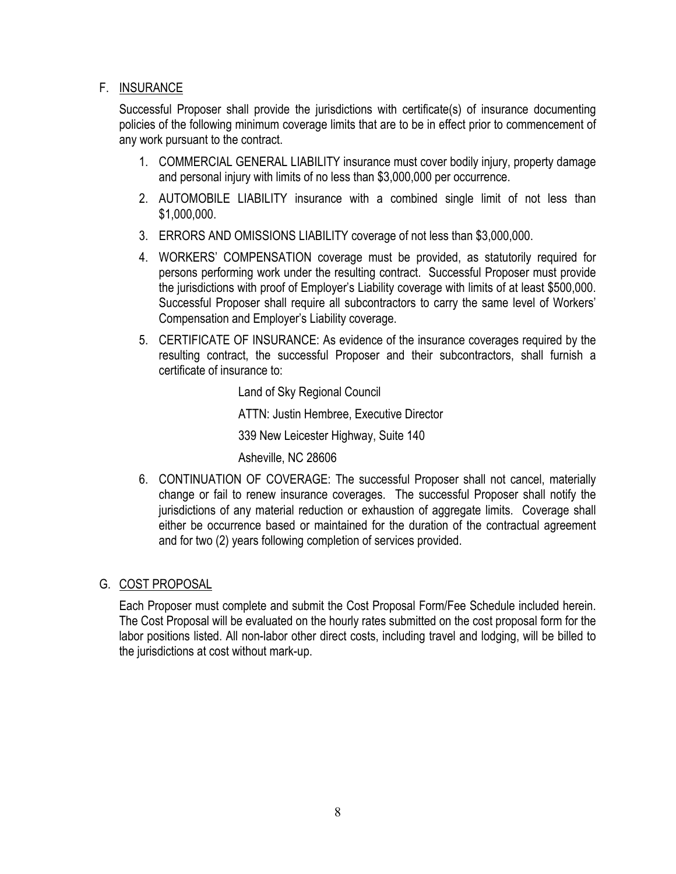### F. INSURANCE

Successful Proposer shall provide the jurisdictions with certificate(s) of insurance documenting policies of the following minimum coverage limits that are to be in effect prior to commencement of any work pursuant to the contract.

- 1. COMMERCIAL GENERAL LIABILITY insurance must cover bodily injury, property damage and personal injury with limits of no less than \$3,000,000 per occurrence.
- 2. AUTOMOBILE LIABILITY insurance with a combined single limit of not less than \$1,000,000.
- 3. ERRORS AND OMISSIONS LIABILITY coverage of not less than \$3,000,000.
- 4. WORKERS' COMPENSATION coverage must be provided, as statutorily required for persons performing work under the resulting contract. Successful Proposer must provide the jurisdictions with proof of Employer's Liability coverage with limits of at least \$500,000. Successful Proposer shall require all subcontractors to carry the same level of Workers' Compensation and Employer's Liability coverage.
- 5. CERTIFICATE OF INSURANCE: As evidence of the insurance coverages required by the resulting contract, the successful Proposer and their subcontractors, shall furnish a certificate of insurance to:

Land of Sky Regional Council ATTN: Justin Hembree, Executive Director 339 New Leicester Highway, Suite 140 Asheville, NC 28606

6. CONTINUATION OF COVERAGE: The successful Proposer shall not cancel, materially change or fail to renew insurance coverages. The successful Proposer shall notify the jurisdictions of any material reduction or exhaustion of aggregate limits. Coverage shall either be occurrence based or maintained for the duration of the contractual agreement and for two (2) years following completion of services provided.

### G. COST PROPOSAL

Each Proposer must complete and submit the Cost Proposal Form/Fee Schedule included herein. The Cost Proposal will be evaluated on the hourly rates submitted on the cost proposal form for the labor positions listed. All non-labor other direct costs, including travel and lodging, will be billed to the jurisdictions at cost without mark-up.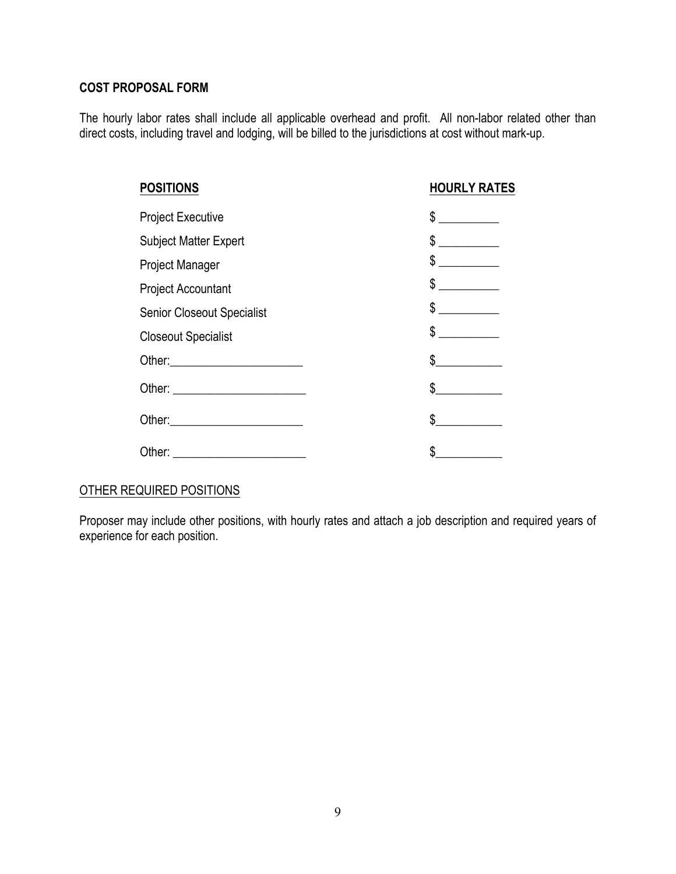#### **COST PROPOSAL FORM**

The hourly labor rates shall include all applicable overhead and profit. All non-labor related other than direct costs, including travel and lodging, will be billed to the jurisdictions at cost without mark-up.

| <b>POSITIONS</b>                  | <b>HOURLY RATES</b>                                                       |
|-----------------------------------|---------------------------------------------------------------------------|
| <b>Project Executive</b>          | \$                                                                        |
| <b>Subject Matter Expert</b>      | \$                                                                        |
| <b>Project Manager</b>            | \$<br>$\overline{\phantom{a}}$ . The contract of $\overline{\phantom{a}}$ |
| <b>Project Accountant</b>         | $\frac{1}{2}$                                                             |
| <b>Senior Closeout Specialist</b> | \$                                                                        |
| <b>Closeout Specialist</b>        | \$                                                                        |
|                                   | \$                                                                        |
|                                   | \$                                                                        |
|                                   | \$                                                                        |
| Other:                            | \$                                                                        |

# OTHER REQUIRED POSITIONS

Proposer may include other positions, with hourly rates and attach a job description and required years of experience for each position.